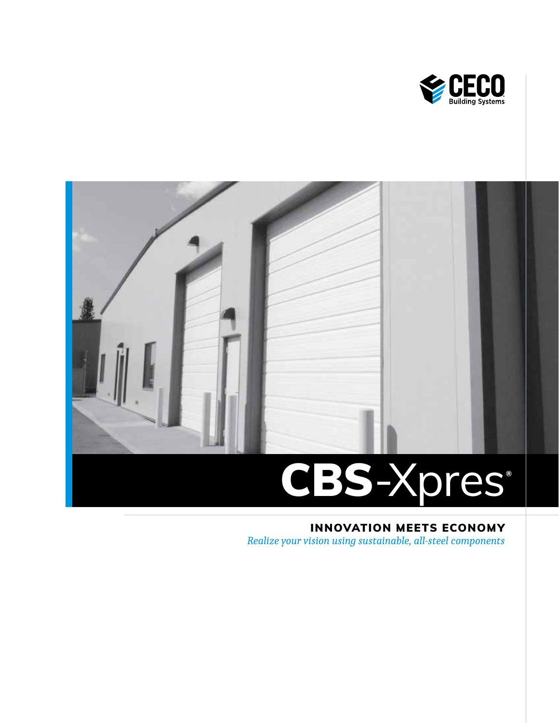



# INNOVATION MEETS ECONOMY

*Realize your vision using sustainable, all-steel components*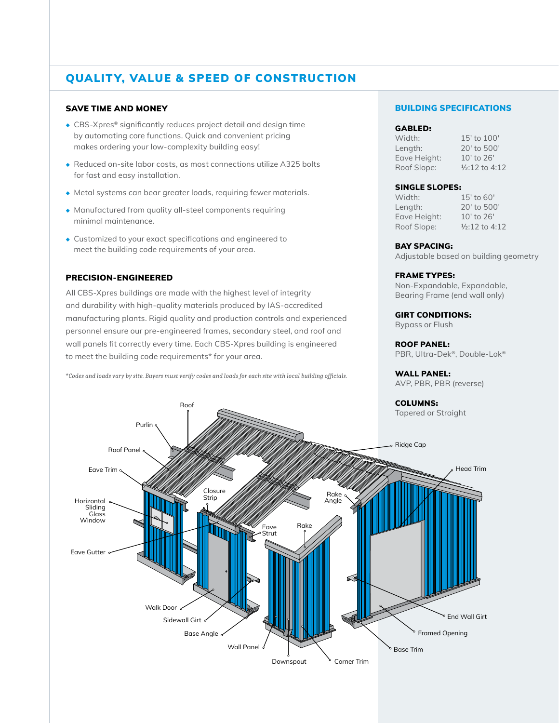## QUALITY, VALUE & SPEED OF CONSTRUCTION

### SAVE TIME AND MONEY

- ◆ CBS-Xpres® significantly reduces project detail and design time by automating core functions. Quick and convenient pricing makes ordering your low-complexity building easy!
- ◆ Reduced on-site labor costs, as most connections utilize A325 bolts for fast and easy installation.
- ◆ Metal systems can bear greater loads, requiring fewer materials.
- ◆ Manufactured from quality all-steel components requiring minimal maintenance.
- ◆ Customized to your exact specifications and engineered to meet the building code requirements of your area.

### PRECISION-ENGINEERED

All CBS-Xpres buildings are made with the highest level of integrity and durability with high-quality materials produced by IAS-accredited manufacturing plants. Rigid quality and production controls and experienced personnel ensure our pre-engineered frames, secondary steel, and roof and wall panels fit correctly every time. Each CBS-Xpres building is engineered to meet the building code requirements\* for your area.

\**Codes and loads vary by site. Buyers must verify codes and loads for each site with local building officials.*

Roof

### BUILDING SPECIFICATIONS

#### GABLED:

Length: 20′ to 500′ Eave Height: 10′ to 26′ Roof Slope: ½:12 to 4:12

Width: 15' to 100'

### SINGLE SLOPES:

Width: 15' to 60' Length: 20′ to 500′ Eave Height: 10′ to 26′ Roof Slope: ½:12 to 4:12

#### BAY SPACING:

Adjustable based on building geometry

### FRAME TYPES:

Non-Expandable, Expandable, Bearing Frame (end wall only)

GIRT CONDITIONS: Bypass or Flush

ROOF PANEL: PBR, Ultra-Dek®, Double-Lok®

WALL PANEL: AVP, PBR, PBR (reverse)

### COLUMNS:

Tapered or Straight

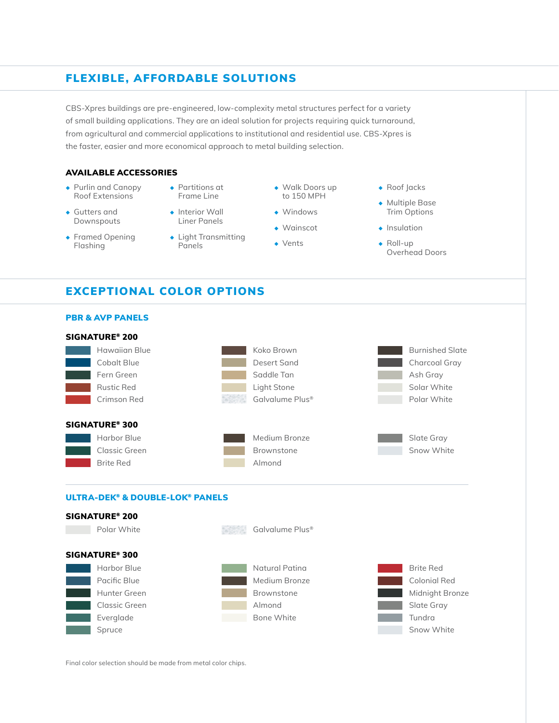### FLEXIBLE, AFFORDABLE SOLUTIONS

CBS-Xpres buildings are pre-engineered, low-complexity metal structures perfect for a variety of small building applications. They are an ideal solution for projects requiring quick turnaround, from agricultural and commercial applications to institutional and residential use. CBS-Xpres is the faster, easier and more economical approach to metal building selection.

### AVAILABLE ACCESSORIES

- ◆ Purlin and Canopy Roof Extensions
- ◆ Gutters and Downspouts
- ◆ Framed Opening Flashing
- ◆ Partitions at Frame Line
- ◆ Interior Wall Liner Panels
- ◆ Light Transmitting Panels
- ◆ Walk Doors up to 150 MPH
- ◆ Windows
- ◆ Wainscot
- ◆ Vents
- ◆ Roof Jacks
- ◆ Multiple Base Trim Options
- ◆ Insulation
- ◆ Roll-up Overhead Doors

### EXCEPTIONAL COLOR OPTIONS



Final color selection should be made from metal color chips.